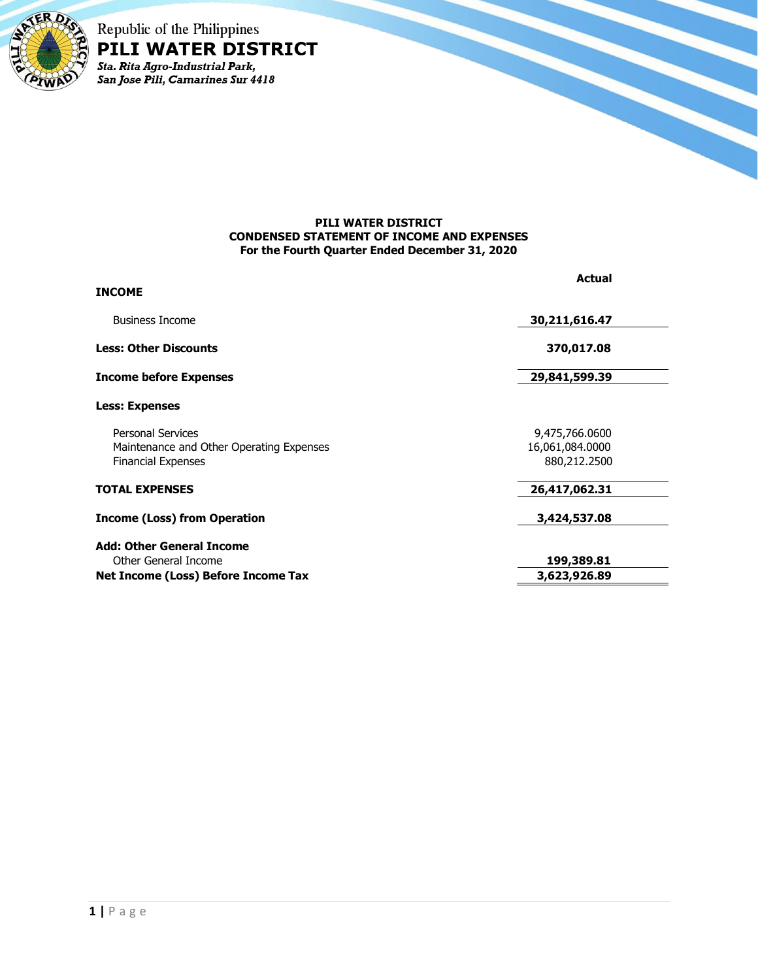

Republic of the Philippines PILI WATER DISTRICT Sta. Rita Agro-Industrial Park,<br>San Jose Pili, Camarines Sur 4418

## **PILI WATER DISTRICT CONDENSED STATEMENT OF INCOME AND EXPENSES For the Fourth Quarter Ended December 31, 2020**

| <b>INCOME</b>                                                                                     | <b>Actual</b>                                     |  |
|---------------------------------------------------------------------------------------------------|---------------------------------------------------|--|
|                                                                                                   |                                                   |  |
| <b>Business Income</b>                                                                            | 30,211,616.47                                     |  |
| <b>Less: Other Discounts</b>                                                                      | 370,017.08                                        |  |
| <b>Income before Expenses</b>                                                                     | 29,841,599.39                                     |  |
| <b>Less: Expenses</b>                                                                             |                                                   |  |
| <b>Personal Services</b><br>Maintenance and Other Operating Expenses<br><b>Financial Expenses</b> | 9,475,766.0600<br>16,061,084.0000<br>880,212.2500 |  |
| <b>TOTAL EXPENSES</b>                                                                             | 26,417,062.31                                     |  |
| <b>Income (Loss) from Operation</b>                                                               | 3,424,537.08                                      |  |
| <b>Add: Other General Income</b>                                                                  |                                                   |  |
| Other General Income                                                                              | 199,389.81                                        |  |
| Net Income (Loss) Before Income Tax                                                               | 3,623,926.89                                      |  |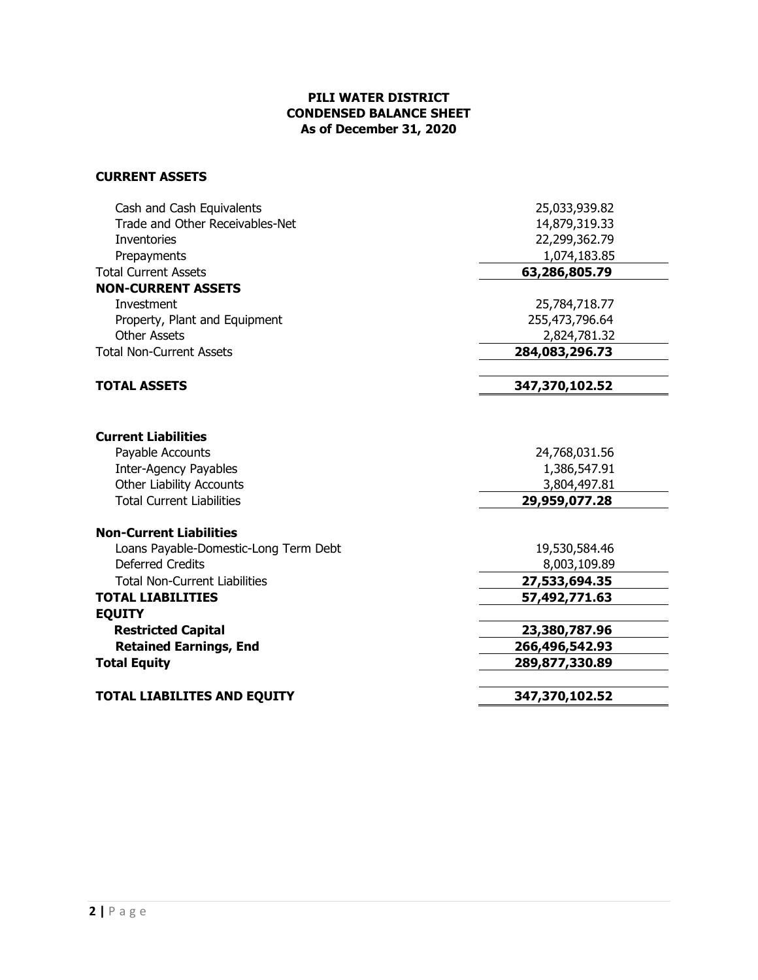## **PILI WATER DISTRICT CONDENSED BALANCE SHEET As of December 31, 2020**

## **CURRENT ASSETS**

| Trade and Other Receivables-Net<br><b>Inventories</b><br>Prepayments<br><b>Total Current Assets</b><br><b>NON-CURRENT ASSETS</b><br>Investment<br>Property, Plant and Equipment | 14,879,319.33<br>22,299,362.79<br>1,074,183.85<br>63,286,805.79<br>25,784,718.77<br>255,473,796.64 |
|---------------------------------------------------------------------------------------------------------------------------------------------------------------------------------|----------------------------------------------------------------------------------------------------|
|                                                                                                                                                                                 |                                                                                                    |
|                                                                                                                                                                                 |                                                                                                    |
|                                                                                                                                                                                 |                                                                                                    |
|                                                                                                                                                                                 |                                                                                                    |
|                                                                                                                                                                                 |                                                                                                    |
|                                                                                                                                                                                 |                                                                                                    |
|                                                                                                                                                                                 |                                                                                                    |
| <b>Other Assets</b>                                                                                                                                                             | 2,824,781.32                                                                                       |
| <b>Total Non-Current Assets</b>                                                                                                                                                 | 284,083,296.73                                                                                     |
| <b>TOTAL ASSETS</b>                                                                                                                                                             | 347,370,102.52                                                                                     |
|                                                                                                                                                                                 |                                                                                                    |
| <b>Current Liabilities</b>                                                                                                                                                      |                                                                                                    |
| Payable Accounts                                                                                                                                                                | 24,768,031.56                                                                                      |
| <b>Inter-Agency Payables</b>                                                                                                                                                    | 1,386,547.91                                                                                       |
| <b>Other Liability Accounts</b>                                                                                                                                                 | 3,804,497.81                                                                                       |
| <b>Total Current Liabilities</b>                                                                                                                                                | 29,959,077.28                                                                                      |
| <b>Non-Current Liabilities</b>                                                                                                                                                  |                                                                                                    |
| Loans Payable-Domestic-Long Term Debt                                                                                                                                           | 19,530,584.46                                                                                      |
| <b>Deferred Credits</b>                                                                                                                                                         | 8,003,109.89                                                                                       |
| <b>Total Non-Current Liabilities</b>                                                                                                                                            | 27,533,694.35                                                                                      |
| <b>TOTAL LIABILITIES</b>                                                                                                                                                        | 57,492,771.63                                                                                      |
| <b>EQUITY</b>                                                                                                                                                                   |                                                                                                    |
| <b>Restricted Capital</b>                                                                                                                                                       | 23,380,787.96                                                                                      |
| <b>Retained Earnings, End</b>                                                                                                                                                   | 266,496,542.93                                                                                     |
| <b>Total Equity</b>                                                                                                                                                             | 289,877,330.89                                                                                     |
| <b>TOTAL LIABILITES AND EQUITY</b>                                                                                                                                              | 347,370,102.52                                                                                     |